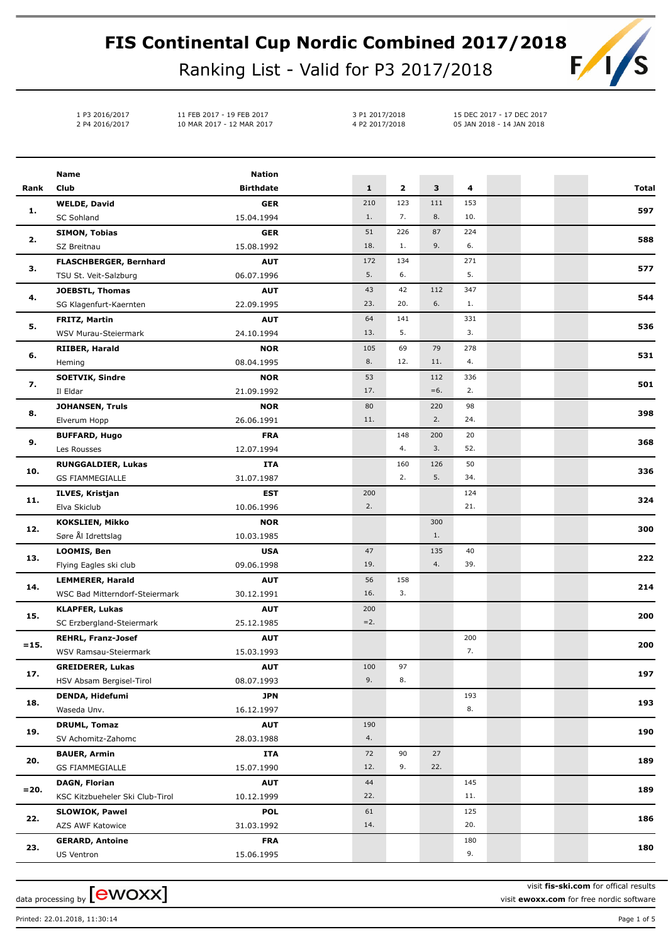## **FIS Continental Cup Nordic Combined 2017/2018**  $F/I$

Ranking List - Valid for P3 2017/2018

1 P3 2016/2017 11 FEB 2017 - 19 FEB 2017 2 P4 2016/2017 10 MAR 2017 - 12 MAR 2017

3 P1 2017/2018 15 DEC 2017 - 17 DEC 2017 4 P2 2017/2018 05 JAN 2018 - 14 JAN 2018

|         | <b>Name</b>                               | <b>Nation</b>            |              |              |           |            |  |              |
|---------|-------------------------------------------|--------------------------|--------------|--------------|-----------|------------|--|--------------|
| Rank    | Club                                      | <b>Birthdate</b>         | $\mathbf{1}$ | $\mathbf{2}$ | 3         | 4          |  | <b>Total</b> |
|         | <b>WELDE, David</b>                       | <b>GER</b>               | 210          | 123          | 111       | 153        |  |              |
| 1.      | <b>SC Sohland</b>                         | 15.04.1994               | 1.           | 7.           | 8.        | 10.        |  | 597          |
|         | <b>SIMON, Tobias</b>                      | <b>GER</b>               | 51           | 226          | 87        | 224        |  |              |
| 2.      | SZ Breitnau                               | 15.08.1992               | 18.          | 1.           | 9.        | 6.         |  | 588          |
|         | FLASCHBERGER, Bernhard                    | <b>AUT</b>               | 172          | 134          |           | 271        |  |              |
| з.      | TSU St. Veit-Salzburg                     | 06.07.1996               | 5.           | 6.           |           | 5.         |  | 577          |
|         | <b>JOEBSTL, Thomas</b>                    | <b>AUT</b>               | 43           | 42           | 112       | 347        |  |              |
| 4.      | SG Klagenfurt-Kaernten                    | 22.09.1995               | 23.          | 20.          | 6.        | 1.         |  | 544          |
| 5.      | <b>FRITZ, Martin</b>                      | <b>AUT</b>               | 64           | 141          |           | 331        |  |              |
|         | WSV Murau-Steiermark                      | 24.10.1994               | 13.          | 5.           |           | 3.         |  | 536          |
|         | RIIBER, Harald                            | <b>NOR</b>               | 105          | 69           | 79        | 278        |  |              |
| 6.      | Heming                                    | 08.04.1995               | 8.           | 12.          | 11.       | 4.         |  | 531          |
| 7.      | <b>SOETVIK, Sindre</b>                    | <b>NOR</b>               | 53           |              | 112       | 336        |  | 501          |
|         | Il Eldar                                  | 21.09.1992               | 17.          |              | $= 6.$    | 2.         |  |              |
| 8.      | <b>JOHANSEN, Truls</b>                    | <b>NOR</b>               | 80           |              | 220       | 98         |  | 398          |
|         | Elverum Hopp                              | 26.06.1991               | 11.          |              | 2.        | 24.        |  |              |
| 9.      | <b>BUFFARD, Hugo</b>                      | <b>FRA</b>               |              | 148          | 200       | 20         |  | 368          |
|         | Les Rousses                               | 12.07.1994               |              | 4.           | 3.        | 52.        |  |              |
| 10.     | <b>RUNGGALDIER, Lukas</b>                 | <b>ITA</b>               |              | 160          | 126       | 50         |  | 336          |
|         | <b>GS FIAMMEGIALLE</b>                    | 31.07.1987               |              | 2.           | 5.        | 34.        |  |              |
| 11.     | ILVES, Kristjan                           | EST                      | 200          |              |           | 124        |  | 324          |
| 12.     | Elva Skiclub                              | 10.06.1996               | 2.           |              |           | 21.        |  |              |
|         | <b>KOKSLIEN, Mikko</b>                    | <b>NOR</b>               |              |              | 300       |            |  | 300          |
|         | Søre Ål Idrettslag                        | 10.03.1985               |              |              | 1.        |            |  |              |
| 13.     | LOOMIS, Ben                               | <b>USA</b>               | 47           |              | 135       | 40         |  | 222          |
|         | Flying Eagles ski club                    | 09.06.1998               | 19.          |              | 4.        | 39.        |  |              |
| 14.     | <b>LEMMERER, Harald</b>                   | <b>AUT</b>               | 56           | 158          |           |            |  | 214          |
|         | WSC Bad Mitterndorf-Steiermark            | 30.12.1991               | 16.          | 3.           |           |            |  |              |
| 15.     | KLAPFER, Lukas                            | <b>AUT</b>               | 200          |              |           |            |  | 200          |
|         | SC Erzbergland-Steiermark                 | 25.12.1985               | $=2.$        |              |           |            |  |              |
| $= 15.$ | <b>REHRL, Franz-Josef</b>                 | <b>AUT</b>               |              |              |           | 200        |  | 200          |
|         | WSV Ramsau-Steiermark                     | 15.03.1993               |              |              |           | 7.         |  |              |
| 17.     | <b>GREIDERER, Lukas</b>                   | <b>AUT</b>               | 100          | 97           |           |            |  | 197          |
|         | HSV Absam Bergisel-Tirol                  | 08.07.1993               | 9.           | 8.           |           |            |  |              |
| 18.     | DENDA, Hidefumi                           | <b>JPN</b>               |              |              |           | 193        |  | 193          |
|         | Waseda Unv.                               | 16.12.1997               |              |              |           | 8.         |  |              |
| 19.     | <b>DRUML, Tomaz</b>                       | <b>AUT</b>               | 190          |              |           |            |  | 190          |
|         | SV Achomitz-Zahomc                        | 28.03.1988               | 4.           |              |           |            |  |              |
| 20.     | <b>BAUER, Armin</b>                       | ITA                      | 72           | 90<br>9.     | 27<br>22. |            |  | 189          |
|         | <b>GS FIAMMEGIALLE</b>                    | 15.07.1990               | 12.          |              |           |            |  |              |
| $= 20.$ | <b>DAGN, Florian</b>                      | <b>AUT</b>               | 44           |              |           | 145        |  | 189          |
|         | KSC Kitzbueheler Ski Club-Tirol           | 10.12.1999               | 22.          |              |           | 11.        |  |              |
| 22.     | <b>SLOWIOK, Pawel</b><br>AZS AWF Katowice | <b>POL</b>               | 61<br>14.    |              |           | 125<br>20. |  | 186          |
|         |                                           | 31.03.1992               |              |              |           |            |  |              |
| 23.     | <b>GERARD, Antoine</b>                    | <b>FRA</b><br>15.06.1995 |              |              |           | 180<br>9.  |  | 180          |
|         | US Ventron                                |                          |              |              |           |            |  |              |

data processing by  ${\rm [ewoxx]}$ 

visit **fis-ski.com** for offical results

visit **ewoxx.com** for free nordic software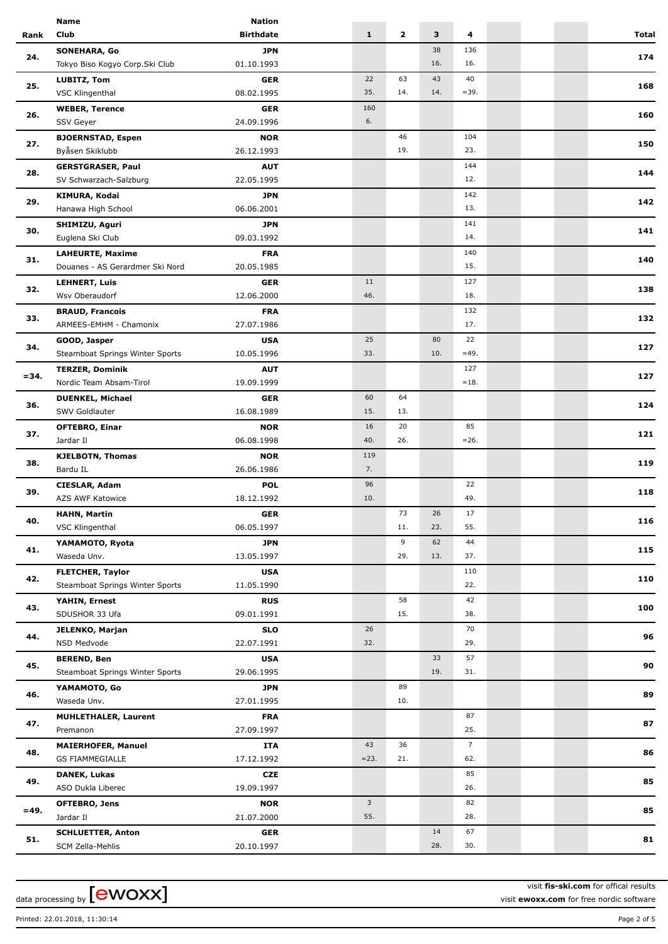|         | Name                                   | <b>Nation</b>    |                         |              |     |                |  |              |
|---------|----------------------------------------|------------------|-------------------------|--------------|-----|----------------|--|--------------|
| Rank    | Club                                   | <b>Birthdate</b> | $\mathbf{1}$            | $\mathbf{2}$ | 3   | 4              |  | <b>Total</b> |
|         | <b>SONEHARA, Go</b>                    | <b>JPN</b>       |                         |              | 38  | 136            |  |              |
| 24.     | Tokyo Biso Kogyo Corp.Ski Club         | 01.10.1993       |                         |              | 16. | 16.            |  | 174          |
|         | <b>LUBITZ, Tom</b>                     | <b>GER</b>       | 22                      | 63           | 43  | 40             |  |              |
| 25.     | VSC Klingenthal                        | 08.02.1995       | 35.                     | 14.          | 14. | $= 39.$        |  | 168          |
|         |                                        |                  | 160                     |              |     |                |  |              |
| 26.     | <b>WEBER, Terence</b>                  | <b>GER</b>       | 6.                      |              |     |                |  | 160          |
|         | SSV Geyer                              | 24.09.1996       |                         |              |     |                |  |              |
| 27.     | <b>BJOERNSTAD, Espen</b>               | <b>NOR</b>       |                         | 46           |     | 104            |  | 150          |
|         | Byåsen Skiklubb                        | 26.12.1993       |                         | 19.          |     | 23.            |  |              |
| 28.     | <b>GERSTGRASER, Paul</b>               | <b>AUT</b>       |                         |              |     | 144            |  | 144          |
|         | SV Schwarzach-Salzburg                 | 22.05.1995       |                         |              |     | 12.            |  |              |
| 29.     | <b>KIMURA, Kodai</b>                   | <b>JPN</b>       |                         |              |     | 142            |  | 142          |
|         | Hanawa High School                     | 06.06.2001       |                         |              |     | 13.            |  |              |
|         | SHIMIZU, Aguri                         | <b>JPN</b>       |                         |              |     | 141            |  |              |
| 30.     | Euglena Ski Club                       | 09.03.1992       |                         |              |     | 14.            |  | 141          |
|         | <b>LAHEURTE, Maxime</b>                | <b>FRA</b>       |                         |              |     | 140            |  |              |
| 31.     | Douanes - AS Gerardmer Ski Nord        | 20.05.1985       |                         |              |     | 15.            |  | 140          |
|         | <b>LEHNERT, Luis</b>                   | <b>GER</b>       | 11                      |              |     | 127            |  |              |
| 32.     | Wsv Oberaudorf                         | 12.06.2000       | 46.                     |              |     | 18.            |  | 138          |
|         |                                        | <b>FRA</b>       |                         |              |     | 132            |  |              |
| 33.     | <b>BRAUD, Francois</b>                 |                  |                         |              |     | 17.            |  | 132          |
|         | ARMEES-EMHM - Chamonix                 | 27.07.1986       |                         |              |     |                |  |              |
| 34.     | GOOD, Jasper                           | <b>USA</b>       | 25                      |              | 80  | 22             |  | 127          |
|         | Steamboat Springs Winter Sports        | 10.05.1996       | 33.                     |              | 10. | $=49.$         |  |              |
| $= 34.$ | <b>TERZER, Dominik</b>                 | <b>AUT</b>       |                         |              |     | 127            |  | 127          |
|         | Nordic Team Absam-Tirol                | 19.09.1999       |                         |              |     | $=18.$         |  |              |
| 36.     | <b>DUENKEL, Michael</b>                | <b>GER</b>       | 60                      | 64           |     |                |  | 124          |
|         | <b>SWV Goldlauter</b>                  | 16.08.1989       | 15.                     | 13.          |     |                |  |              |
|         | <b>OFTEBRO, Einar</b>                  | <b>NOR</b>       | 16                      | 20           |     | 85             |  |              |
| 37.     | Jardar II                              | 06.08.1998       | 40.                     | 26.          |     | $=26.$         |  | 121          |
|         | <b>KJELBOTN, Thomas</b>                | <b>NOR</b>       | 119                     |              |     |                |  |              |
| 38.     | Bardu IL                               | 26.06.1986       | 7.                      |              |     |                |  | 119          |
|         | <b>CIESLAR, Adam</b>                   | <b>POL</b>       | 96                      |              |     | 22             |  |              |
| 39.     | AZS AWF Katowice                       | 18.12.1992       | 10.                     |              |     | 49.            |  | 118          |
|         |                                        | <b>GER</b>       |                         | 73           | 26  | 17             |  |              |
| 40.     | <b>HAHN, Martin</b><br>VSC Klingenthal | 06.05.1997       |                         | 11.          | 23. | 55.            |  | 116          |
|         |                                        |                  |                         |              |     |                |  |              |
| 41.     | YAMAMOTO, Ryota                        | <b>JPN</b>       |                         | 9            | 62  | 44             |  | 115          |
|         | Waseda Unv.                            | 13.05.1997       |                         | 29.          | 13. | 37.            |  |              |
| 42.     | <b>FLETCHER, Taylor</b>                | <b>USA</b>       |                         |              |     | 110            |  | 110          |
|         | Steamboat Springs Winter Sports        | 11.05.1990       |                         |              |     | 22.            |  |              |
| 43.     | YAHIN, Ernest                          | <b>RUS</b>       |                         | 58           |     | 42             |  | 100          |
|         | SDUSHOR 33 Ufa                         | 09.01.1991       |                         | 15.          |     | 38.            |  |              |
| 44.     | <b>JELENKO, Marjan</b>                 | <b>SLO</b>       | 26                      |              |     | 70             |  | 96           |
|         | NSD Medvode                            | 22.07.1991       | 32.                     |              |     | 29.            |  |              |
|         | <b>BEREND, Ben</b>                     | <b>USA</b>       |                         |              | 33  | 57             |  |              |
| 45.     | Steamboat Springs Winter Sports        | 29.06.1995       |                         |              | 19. | 31.            |  | 90           |
|         | YAMAMOTO, Go                           | <b>JPN</b>       |                         | 89           |     |                |  |              |
| 46.     | Waseda Unv.                            | 27.01.1995       |                         | 10.          |     |                |  | 89           |
|         | <b>MUHLETHALER, Laurent</b>            | <b>FRA</b>       |                         |              |     | 87             |  |              |
| 47.     | Premanon                               | 27.09.1997       |                         |              |     | 25.            |  | 87           |
|         |                                        |                  | 43                      | 36           |     | $\overline{7}$ |  |              |
| 48.     | <b>MAIERHOFER, Manuel</b>              | ITA              | $= 23.$                 | 21.          |     | 62.            |  | 86           |
|         | GS FIAMMEGIALLE                        | 17.12.1992       |                         |              |     |                |  |              |
| 49.     | DANEK, Lukas                           | CZE              |                         |              |     | 85             |  | 85           |
|         | ASO Dukla Liberec                      | 19.09.1997       |                         |              |     | 26.            |  |              |
| $=49.$  | OFTEBRO, Jens                          | <b>NOR</b>       | $\overline{\mathbf{3}}$ |              |     | 82             |  | 85           |
|         | Jardar II                              | 21.07.2000       | 55.                     |              |     | 28.            |  |              |
| 51.     | <b>SCHLUETTER, Anton</b>               | <b>GER</b>       |                         |              | 14  | 67             |  | 81           |
|         | SCM Zella-Mehlis                       | 20.10.1997       |                         |              | 28. | 30.            |  |              |
|         |                                        |                  |                         |              |     |                |  |              |

data processing by  $[ewoxx]$ 

visit **fis-ski.com** for offical results visit **ewoxx.com** for free nordic software

Printed: 22.01.2018, 11:30:14 Page 2 of 5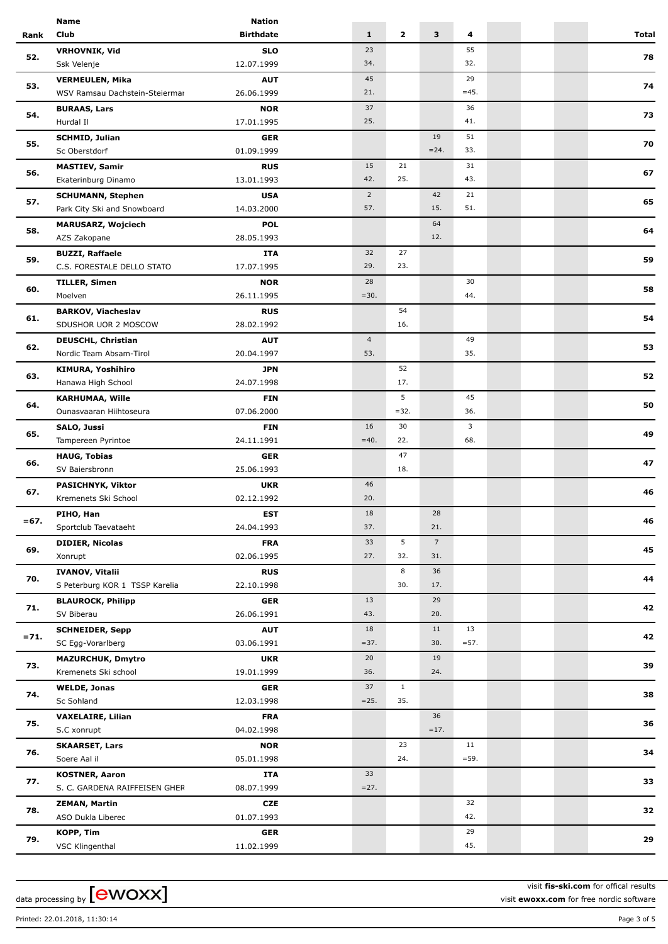|                                                                                                 | <b>Name</b>                    | <b>Nation</b>    |                |              |                 |         |  |       |
|-------------------------------------------------------------------------------------------------|--------------------------------|------------------|----------------|--------------|-----------------|---------|--|-------|
| Rank                                                                                            | Club                           | <b>Birthdate</b> | $\mathbf{1}$   | $\mathbf{z}$ | 3               | 4       |  | Total |
|                                                                                                 | <b>VRHOVNIK, Vid</b>           | <b>SLO</b>       | 23             |              |                 | 55      |  |       |
| 52.                                                                                             | Ssk Velenje                    | 12.07.1999       | 34.            |              |                 | 32.     |  | 78    |
|                                                                                                 | <b>VERMEULEN, Mika</b>         | <b>AUT</b>       | 45             |              |                 | 29      |  |       |
| 53.                                                                                             | WSV Ramsau Dachstein-Steiermar | 26.06.1999       | 21.            |              |                 | $=45.$  |  | 74    |
|                                                                                                 |                                | <b>NOR</b>       | 37             |              |                 | 36      |  |       |
| 54.                                                                                             | <b>BURAAS, Lars</b>            |                  | 25.            |              |                 | 41.     |  | 73    |
|                                                                                                 | Hurdal II                      | 17.01.1995       |                |              |                 |         |  |       |
| 55.                                                                                             | <b>SCHMID, Julian</b>          | <b>GER</b>       |                |              | 19              | 51      |  | 70    |
|                                                                                                 | Sc Oberstdorf                  | 01.09.1999       |                |              | $= 24.$         | 33.     |  |       |
|                                                                                                 | <b>MASTIEV, Samir</b>          | <b>RUS</b>       | 15             | 21           |                 | 31      |  | 67    |
|                                                                                                 | Ekaterinburg Dinamo            | 13.01.1993       | 42.            | 25.          |                 | 43.     |  |       |
|                                                                                                 | <b>SCHUMANN, Stephen</b>       | <b>USA</b>       | $\overline{2}$ |              | 42              | 21      |  |       |
|                                                                                                 | Park City Ski and Snowboard    | 14.03.2000       | 57.            |              | 15.             | 51.     |  | 65    |
|                                                                                                 | <b>MARUSARZ, Wojciech</b>      | <b>POL</b>       |                |              | 64              |         |  |       |
| 58.                                                                                             | AZS Zakopane                   | 28.05.1993       |                |              | 12.             |         |  | 64    |
|                                                                                                 |                                |                  | 32             | 27           |                 |         |  |       |
| 59.                                                                                             | <b>BUZZI, Raffaele</b>         | ITA              | 29.            | 23.          |                 |         |  | 59    |
|                                                                                                 | C.S. FORESTALE DELLO STATO     | 17.07.1995       |                |              |                 |         |  |       |
| 60.                                                                                             | <b>TILLER, Simen</b>           | <b>NOR</b>       | 28             |              |                 | 30      |  | 58    |
|                                                                                                 | Moelven                        | 26.11.1995       | $=30.$         |              |                 | 44.     |  |       |
|                                                                                                 | <b>BARKOV, Viacheslav</b>      | <b>RUS</b>       |                | 54           |                 |         |  | 54    |
|                                                                                                 | SDUSHOR UOR 2 MOSCOW           | 28.02.1992       |                | 16.          |                 |         |  |       |
|                                                                                                 | <b>DEUSCHL, Christian</b>      | <b>AUT</b>       | $\overline{4}$ |              |                 | 49      |  |       |
|                                                                                                 | Nordic Team Absam-Tirol        | 20.04.1997       | 53.            |              |                 | 35.     |  | 53    |
|                                                                                                 | <b>KIMURA, Yoshihiro</b>       | <b>JPN</b>       |                | 52           |                 |         |  |       |
| 63.                                                                                             | Hanawa High School             | 24.07.1998       |                | 17.          |                 |         |  | 52    |
| 64.                                                                                             |                                |                  |                | 5            |                 | 45      |  |       |
|                                                                                                 | <b>KARHUMAA, Wille</b>         | <b>FIN</b>       |                | $= 32.$      |                 | 36.     |  | 50    |
|                                                                                                 | Ounasvaaran Hiihtoseura        | 07.06.2000       |                |              |                 |         |  |       |
| 65.                                                                                             | SALO, Jussi                    | <b>FIN</b>       | 16             | 30           |                 | 3       |  | 49    |
|                                                                                                 | Tampereen Pyrintoe             | 24.11.1991       | $=40.$         | 22.          |                 | 68.     |  |       |
|                                                                                                 | <b>HAUG, Tobias</b>            | <b>GER</b>       |                | 47           |                 |         |  | 47    |
|                                                                                                 | SV Baiersbronn                 | 25.06.1993       |                | 18.          |                 |         |  |       |
|                                                                                                 | PASICHNYK, Viktor              | <b>UKR</b>       | 46             |              |                 |         |  |       |
| 67.                                                                                             | Kremenets Ski School           | 02.12.1992       | 20.            |              |                 |         |  | 46    |
|                                                                                                 | PIHO, Han                      | <b>EST</b>       | 18             |              | 28              |         |  |       |
|                                                                                                 | Sportclub Taevataeht           | 24.04.1993       | 37.            |              | 21.             |         |  | 46    |
|                                                                                                 | <b>DIDIER, Nicolas</b>         | <b>FRA</b>       | 33             | 5            | $7\overline{ }$ |         |  |       |
| 69.                                                                                             | Xonrupt                        | 02.06.1995       | 27.            | 32.          | 31.             |         |  | 45    |
|                                                                                                 |                                |                  |                |              |                 |         |  |       |
| 70.                                                                                             | <b>IVANOV, Vitalii</b>         | <b>RUS</b>       |                | 8            | 36              |         |  | 44    |
|                                                                                                 | S Peterburg KOR 1 TSSP Karelia | 22.10.1998       |                | 30.          | 17.             |         |  |       |
|                                                                                                 | <b>BLAUROCK, Philipp</b>       | <b>GER</b>       | 13             |              | 29              |         |  | 42    |
|                                                                                                 | SV Biberau                     | 26.06.1991       | 43.            |              | 20.             |         |  |       |
|                                                                                                 | <b>SCHNEIDER, Sepp</b>         | <b>AUT</b>       | 18             |              | 11              | 13      |  |       |
|                                                                                                 | SC Egg-Vorarlberg              | 03.06.1991       | $= 37.$        |              | 30.             | $= 57.$ |  | 42    |
|                                                                                                 | <b>MAZURCHUK, Dmytro</b>       | <b>UKR</b>       | 20             |              | 19              |         |  |       |
|                                                                                                 | Kremenets Ski school           | 19.01.1999       | 36.            |              | 24.             |         |  | 39    |
|                                                                                                 | <b>WELDE, Jonas</b>            | <b>GER</b>       | 37             | $\mathbf{1}$ |                 |         |  |       |
| 74.                                                                                             | Sc Sohland                     | 12.03.1998       | $=25.$         | 35.          |                 |         |  | 38    |
|                                                                                                 |                                |                  |                |              | 36              |         |  |       |
| 75.                                                                                             | <b>VAXELAIRE, Lilian</b>       | <b>FRA</b>       |                |              |                 |         |  | 36    |
|                                                                                                 | S.C xonrupt                    | 04.02.1998       |                |              | $=17.$          |         |  |       |
|                                                                                                 | <b>SKAARSET, Lars</b>          | <b>NOR</b>       |                | 23           |                 | 11      |  | 34    |
|                                                                                                 | Soere Aal il                   | 05.01.1998       |                | 24.          |                 | $= 59.$ |  |       |
|                                                                                                 | <b>KOSTNER, Aaron</b>          | ITA              | 33             |              |                 |         |  |       |
|                                                                                                 | S. C. GARDENA RAIFFEISEN GHER  | 08.07.1999       | $=27.$         |              |                 |         |  | 33    |
|                                                                                                 | <b>ZEMAN, Martin</b>           | <b>CZE</b>       |                |              |                 | 32      |  |       |
| 56.<br>57.<br>61.<br>62.<br>66.<br>$= 67.$<br>71.<br>$= 71.$<br>73.<br>76.<br>77.<br>78.<br>79. | ASO Dukla Liberec              | 01.07.1993       |                |              |                 | 42.     |  | 32    |
|                                                                                                 | KOPP, Tim                      | <b>GER</b>       |                |              |                 | 29      |  |       |
|                                                                                                 | VSC Klingenthal                | 11.02.1999       |                |              |                 | 45.     |  | 29    |
|                                                                                                 |                                |                  |                |              |                 |         |  |       |

data processing by  $[ewoxx]$ 

visit **fis-ski.com** for offical results visit **ewoxx.com** for free nordic software

Printed: 22.01.2018, 11:30:14 Page 3 of 5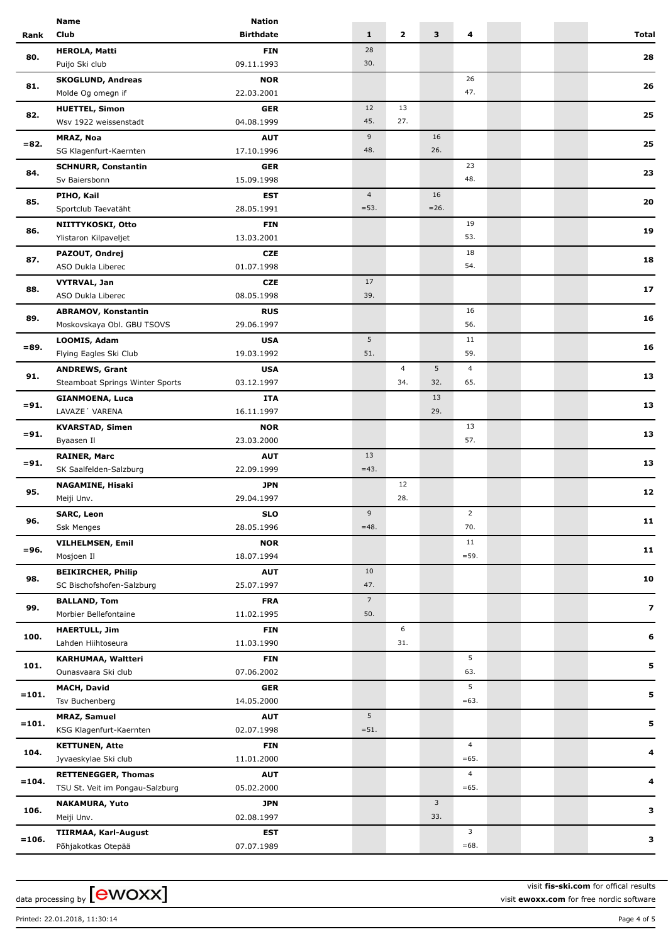|                                                                                                                                                                                                                                    | Name                            | <b>Nation</b>    |                       |                |         |                |  |              |
|------------------------------------------------------------------------------------------------------------------------------------------------------------------------------------------------------------------------------------|---------------------------------|------------------|-----------------------|----------------|---------|----------------|--|--------------|
| Rank                                                                                                                                                                                                                               | <b>Club</b>                     | <b>Birthdate</b> | $\mathbf{1}$          | $\mathbf{2}$   | 3       | 4              |  | <b>Total</b> |
|                                                                                                                                                                                                                                    | <b>HEROLA, Matti</b>            | <b>FIN</b>       | 28                    |                |         |                |  |              |
|                                                                                                                                                                                                                                    | Puijo Ski club                  | 09.11.1993       | 30.                   |                |         |                |  | 28           |
|                                                                                                                                                                                                                                    | <b>SKOGLUND, Andreas</b>        | <b>NOR</b>       |                       |                |         | 26             |  |              |
| 80.<br>81.<br>82.<br>$= 82.$<br>84.<br>85.<br>86.<br>87.<br>88.<br>89.<br>$= 89.$<br>91.<br>$= 91.$<br>$= 91.$<br>$= 91.$<br>95.<br>96.<br>$= 96.$<br>98.<br>99.<br>100.<br>101.<br>$=101.$<br>$=101.$<br>104.<br>$= 104.$<br>106. | Molde Og omegn if               | 22.03.2001       |                       |                |         | 47.            |  | 26           |
|                                                                                                                                                                                                                                    | <b>HUETTEL, Simon</b>           | <b>GER</b>       | 12                    | 13             |         |                |  |              |
|                                                                                                                                                                                                                                    | Wsv 1922 weissenstadt           | 04.08.1999       | 45.                   | 27.            |         |                |  | 25           |
|                                                                                                                                                                                                                                    | <b>MRAZ, Noa</b>                | <b>AUT</b>       | 9                     |                | 16      |                |  |              |
|                                                                                                                                                                                                                                    | SG Klagenfurt-Kaernten          | 17.10.1996       | 48.                   |                | 26.     |                |  | 25           |
|                                                                                                                                                                                                                                    | <b>SCHNURR, Constantin</b>      | <b>GER</b>       |                       |                |         | 23             |  |              |
|                                                                                                                                                                                                                                    | Sv Baiersbonn                   | 15.09.1998       |                       |                |         | 48.            |  | 23           |
|                                                                                                                                                                                                                                    | PIHO, Kail                      | <b>EST</b>       | $\overline{4}$        |                | 16      |                |  |              |
|                                                                                                                                                                                                                                    | Sportclub Taevatäht             | 28.05.1991       | $= 53.$               |                | $= 26.$ |                |  | 20           |
|                                                                                                                                                                                                                                    |                                 |                  |                       |                |         |                |  |              |
|                                                                                                                                                                                                                                    | NIITTYKOSKI, Otto               | <b>FIN</b>       |                       |                |         | 19<br>53.      |  | 19           |
|                                                                                                                                                                                                                                    | Ylistaron Kilpaveljet           | 13.03.2001       |                       |                |         |                |  |              |
|                                                                                                                                                                                                                                    | PAZOUT, Ondrej                  | <b>CZE</b>       |                       |                |         | 18             |  | 18           |
|                                                                                                                                                                                                                                    | ASO Dukla Liberec               | 01.07.1998       |                       |                |         | 54.            |  |              |
|                                                                                                                                                                                                                                    | <b>VYTRVAL, Jan</b>             | <b>CZE</b>       | 17                    |                |         |                |  | 17           |
|                                                                                                                                                                                                                                    | ASO Dukla Liberec               | 08.05.1998       | 39.                   |                |         |                |  |              |
|                                                                                                                                                                                                                                    | <b>ABRAMOV, Konstantin</b>      | <b>RUS</b>       |                       |                |         | 16             |  | 16           |
|                                                                                                                                                                                                                                    | Moskovskaya Obl. GBU TSOVS      | 29.06.1997       |                       |                |         | 56.            |  |              |
|                                                                                                                                                                                                                                    | LOOMIS, Adam                    | <b>USA</b>       | 5                     |                |         | 11             |  | 16           |
|                                                                                                                                                                                                                                    | Flying Eagles Ski Club          | 19.03.1992       | 51.                   |                |         | 59.            |  |              |
|                                                                                                                                                                                                                                    | <b>ANDREWS, Grant</b>           | <b>USA</b>       |                       | $\overline{4}$ | 5       | 4              |  |              |
|                                                                                                                                                                                                                                    | Steamboat Springs Winter Sports | 03.12.1997       |                       | 34.            | 32.     | 65.            |  | 13           |
|                                                                                                                                                                                                                                    | <b>GIANMOENA, Luca</b>          | <b>ITA</b>       |                       |                | 13      |                |  |              |
|                                                                                                                                                                                                                                    | LAVAZE' VARENA                  | 16.11.1997       |                       |                | 29.     |                |  | 13           |
|                                                                                                                                                                                                                                    | <b>KVARSTAD, Simen</b>          | <b>NOR</b>       |                       |                |         | 13             |  |              |
|                                                                                                                                                                                                                                    | Byaasen Il                      | 23.03.2000       |                       |                |         | 57.            |  | 13           |
|                                                                                                                                                                                                                                    | <b>RAINER, Marc</b>             | <b>AUT</b>       | 13                    |                |         |                |  |              |
|                                                                                                                                                                                                                                    | SK Saalfelden-Salzburg          | 22.09.1999       | $=43.$                |                |         |                |  | 13           |
|                                                                                                                                                                                                                                    | <b>NAGAMINE, Hisaki</b>         | <b>JPN</b>       |                       | 12             |         |                |  |              |
|                                                                                                                                                                                                                                    | Meiji Unv.                      | 29.04.1997       |                       | 28.            |         |                |  | 12           |
|                                                                                                                                                                                                                                    | <b>SARC, Leon</b>               | <b>SLO</b>       | 9                     |                |         | $\overline{2}$ |  |              |
|                                                                                                                                                                                                                                    | <b>Ssk Menges</b>               | 28.05.1996       | $=48.$                |                |         | 70.            |  | 11           |
|                                                                                                                                                                                                                                    |                                 | <b>NOR</b>       |                       |                |         | 11             |  |              |
|                                                                                                                                                                                                                                    | <b>VILHELMSEN, Emil</b>         |                  |                       |                |         | $= 59.$        |  | 11           |
|                                                                                                                                                                                                                                    | Mosjoen Il                      | 18.07.1994       |                       |                |         |                |  |              |
|                                                                                                                                                                                                                                    | <b>BEIKIRCHER, Philip</b>       | <b>AUT</b>       | 10<br>47.             |                |         |                |  | 10           |
|                                                                                                                                                                                                                                    | SC Bischofshofen-Salzburg       | 25.07.1997       |                       |                |         |                |  |              |
|                                                                                                                                                                                                                                    | <b>BALLAND, Tom</b>             | <b>FRA</b>       | 7 <sup>7</sup><br>50. |                |         |                |  | 7            |
|                                                                                                                                                                                                                                    | Morbier Bellefontaine           | 11.02.1995       |                       |                |         |                |  |              |
|                                                                                                                                                                                                                                    | <b>HAERTULL, Jim</b>            | <b>FIN</b>       |                       | 6<br>31.       |         |                |  | 6            |
|                                                                                                                                                                                                                                    | Lahden Hiihtoseura              | 11.03.1990       |                       |                |         |                |  |              |
|                                                                                                                                                                                                                                    | KARHUMAA, Waltteri              | <b>FIN</b>       |                       |                |         | 5<br>63.       |  | 5            |
|                                                                                                                                                                                                                                    | Ounasvaara Ski club             | 07.06.2002       |                       |                |         |                |  |              |
|                                                                                                                                                                                                                                    | <b>MACH, David</b>              | <b>GER</b>       |                       |                |         | 5              |  | 5            |
|                                                                                                                                                                                                                                    | Tsv Buchenberg                  | 14.05.2000       |                       |                |         | $=63.$         |  |              |
|                                                                                                                                                                                                                                    | <b>MRAZ, Samuel</b>             | <b>AUT</b>       | 5                     |                |         |                |  | 5            |
|                                                                                                                                                                                                                                    | KSG Klagenfurt-Kaernten         | 02.07.1998       | $= 51.$               |                |         |                |  |              |
|                                                                                                                                                                                                                                    | <b>KETTUNEN, Atte</b>           | <b>FIN</b>       |                       |                |         | $\overline{4}$ |  | 4            |
|                                                                                                                                                                                                                                    | Jyvaeskylae Ski club            | 11.01.2000       |                       |                |         | $=65.$         |  |              |
|                                                                                                                                                                                                                                    | <b>RETTENEGGER, Thomas</b>      | <b>AUT</b>       |                       |                |         | $\overline{4}$ |  | 4            |
|                                                                                                                                                                                                                                    | TSU St. Veit im Pongau-Salzburg | 05.02.2000       |                       |                |         | $=65.$         |  |              |
|                                                                                                                                                                                                                                    | <b>NAKAMURA, Yuto</b>           | <b>JPN</b>       |                       |                | 3       |                |  | 3            |
|                                                                                                                                                                                                                                    | Meiji Unv.                      | 02.08.1997       |                       |                | 33.     |                |  |              |
| $= 106.$                                                                                                                                                                                                                           | <b>TIIRMAA, Karl-August</b>     | <b>EST</b>       |                       |                |         | 3              |  | 3            |
|                                                                                                                                                                                                                                    | Põhjakotkas Otepää              | 07.07.1989       |                       |                |         | $=68.$         |  |              |
|                                                                                                                                                                                                                                    |                                 |                  |                       |                |         |                |  |              |

data processing by  $[ewoxx]$ 

visit **fis-ski.com** for offical results visit **ewoxx.com** for free nordic software

Printed: 22.01.2018, 11:30:14 Page 4 of 5